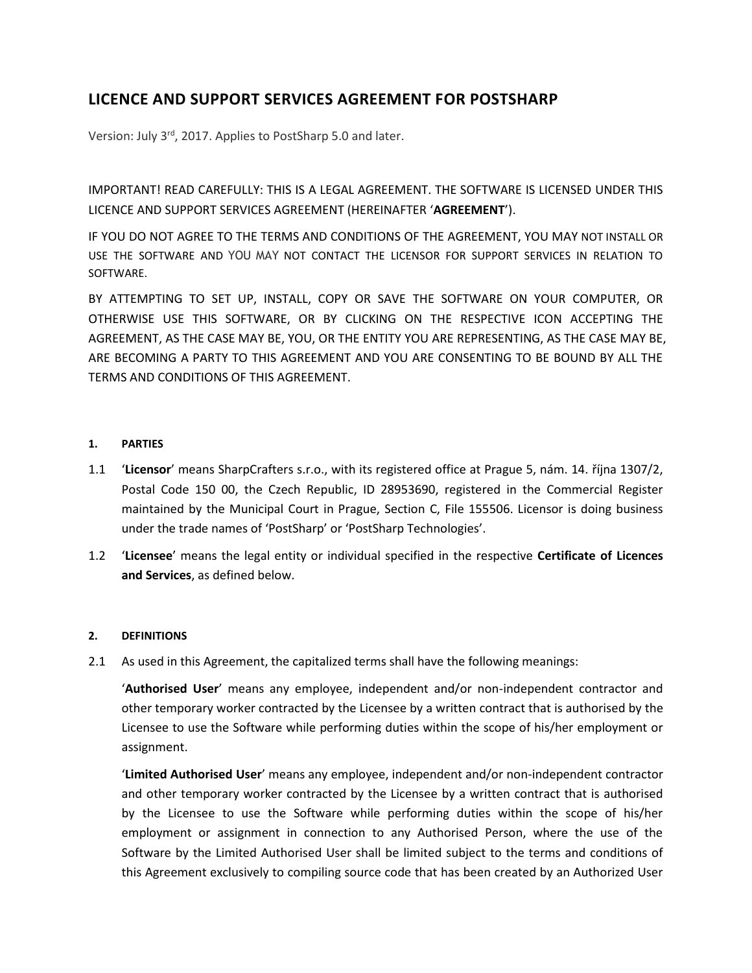# **LICENCE AND SUPPORT SERVICES AGREEMENT FOR POSTSHARP**

Version: July 3rd, 2017. Applies to PostSharp 5.0 and later.

IMPORTANT! READ CAREFULLY: THIS IS A LEGAL AGREEMENT. THE SOFTWARE IS LICENSED UNDER THIS LICENCE AND SUPPORT SERVICES AGREEMENT (HEREINAFTER '**AGREEMENT**').

IF YOU DO NOT AGREE TO THE TERMS AND CONDITIONS OF THE AGREEMENT, YOU MAY NOT INSTALL OR USE THE SOFTWARE AND YOU MAY NOT CONTACT THE LICENSOR FOR SUPPORT SERVICES IN RELATION TO SOFTWARE.

BY ATTEMPTING TO SET UP, INSTALL, COPY OR SAVE THE SOFTWARE ON YOUR COMPUTER, OR OTHERWISE USE THIS SOFTWARE, OR BY CLICKING ON THE RESPECTIVE ICON ACCEPTING THE AGREEMENT, AS THE CASE MAY BE, YOU, OR THE ENTITY YOU ARE REPRESENTING, AS THE CASE MAY BE, ARE BECOMING A PARTY TO THIS AGREEMENT AND YOU ARE CONSENTING TO BE BOUND BY ALL THE TERMS AND CONDITIONS OF THIS AGREEMENT.

## **1. PARTIES**

- 1.1 '**Licensor**' means SharpCrafters s.r.o., with its registered office at Prague 5, nám. 14. října 1307/2, Postal Code 150 00, the Czech Republic, ID 28953690, registered in the Commercial Register maintained by the Municipal Court in Prague, Section C, File 155506. Licensor is doing business under the trade names of 'PostSharp' or 'PostSharp Technologies'.
- 1.2 '**Licensee**' means the legal entity or individual specified in the respective **Certificate of Licences and Services**, as defined below.

# **2. DEFINITIONS**

2.1 As used in this Agreement, the capitalized terms shall have the following meanings:

'**Authorised User**' means any employee, independent and/or non-independent contractor and other temporary worker contracted by the Licensee by a written contract that is authorised by the Licensee to use the Software while performing duties within the scope of his/her employment or assignment.

'**Limited Authorised User**' means any employee, independent and/or non-independent contractor and other temporary worker contracted by the Licensee by a written contract that is authorised by the Licensee to use the Software while performing duties within the scope of his/her employment or assignment in connection to any Authorised Person, where the use of the Software by the Limited Authorised User shall be limited subject to the terms and conditions of this Agreement exclusively to compiling source code that has been created by an Authorized User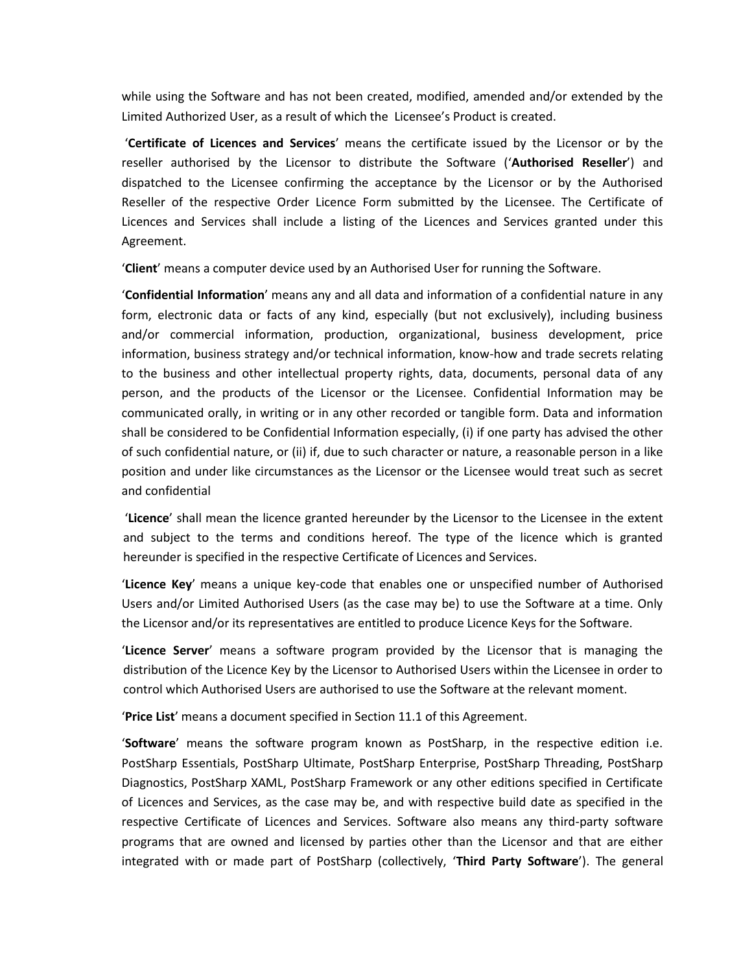while using the Software and has not been created, modified, amended and/or extended by the Limited Authorized User, as a result of which the Licensee's Product is created.

'**Certificate of Licences and Services**' means the certificate issued by the Licensor or by the reseller authorised by the Licensor to distribute the Software ('**Authorised Reseller**') and dispatched to the Licensee confirming the acceptance by the Licensor or by the Authorised Reseller of the respective Order Licence Form submitted by the Licensee. The Certificate of Licences and Services shall include a listing of the Licences and Services granted under this Agreement.

'**Client**' means a computer device used by an Authorised User for running the Software.

'**Confidential Information**' means any and all data and information of a confidential nature in any form, electronic data or facts of any kind, especially (but not exclusively), including business and/or commercial information, production, organizational, business development, price information, business strategy and/or technical information, know-how and trade secrets relating to the business and other intellectual property rights, data, documents, personal data of any person, and the products of the Licensor or the Licensee. Confidential Information may be communicated orally, in writing or in any other recorded or tangible form. Data and information shall be considered to be Confidential Information especially, (i) if one party has advised the other of such confidential nature, or (ii) if, due to such character or nature, a reasonable person in a like position and under like circumstances as the Licensor or the Licensee would treat such as secret and confidential

'**Licence**' shall mean the licence granted hereunder by the Licensor to the Licensee in the extent and subject to the terms and conditions hereof. The type of the licence which is granted hereunder is specified in the respective Certificate of Licences and Services.

'**Licence Key**' means a unique key-code that enables one or unspecified number of Authorised Users and/or Limited Authorised Users (as the case may be) to use the Software at a time. Only the Licensor and/or its representatives are entitled to produce Licence Keys for the Software.

'**Licence Server**' means a software program provided by the Licensor that is managing the distribution of the Licence Key by the Licensor to Authorised Users within the Licensee in order to control which Authorised Users are authorised to use the Software at the relevant moment.

'**Price List**' means a document specified in Section 11.1 of this Agreement.

'**Software**' means the software program known as PostSharp, in the respective edition i.e. PostSharp Essentials, PostSharp Ultimate, PostSharp Enterprise, PostSharp Threading, PostSharp Diagnostics, PostSharp XAML, PostSharp Framework or any other editions specified in Certificate of Licences and Services, as the case may be, and with respective build date as specified in the respective Certificate of Licences and Services. Software also means any third-party software programs that are owned and licensed by parties other than the Licensor and that are either integrated with or made part of PostSharp (collectively, '**Third Party Software**'). The general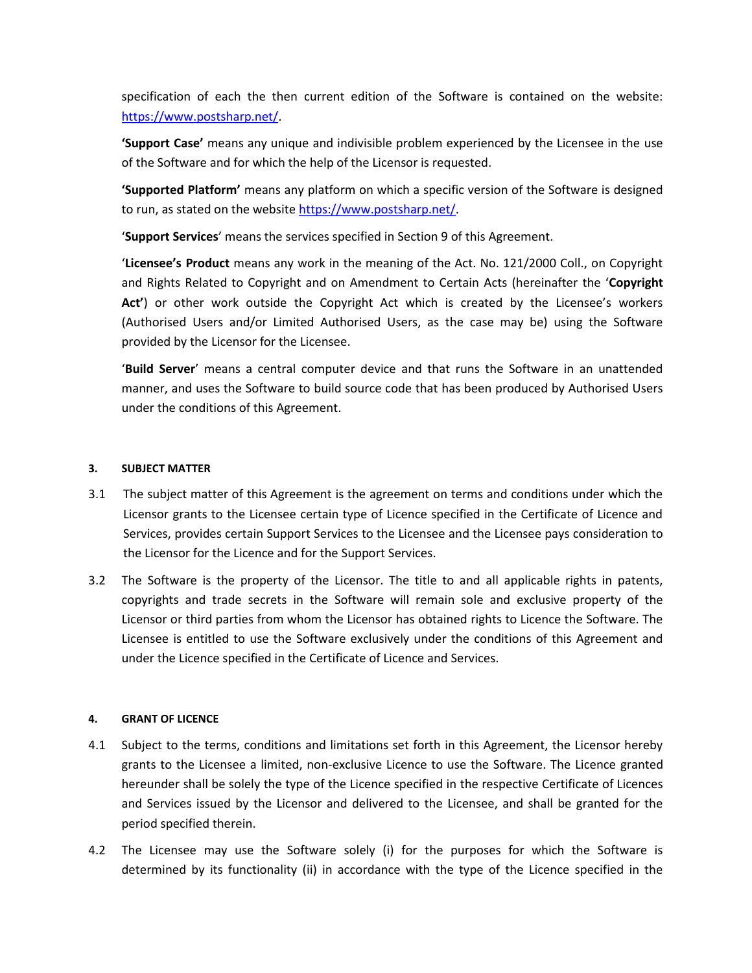specification of each the then current edition of the Software is contained on the website: [https://www.postsharp.net/.](https://www.postsharp.net/)

**'Support Case'** means any unique and indivisible problem experienced by the Licensee in the use of the Software and for which the help of the Licensor is requested.

**'Supported Platform'** means any platform on which a specific version of the Software is designed to run, as stated on the website [https://www.postsharp.net/.](https://www.postsharp.net/)

'**Support Services**' means the services specified in Section 9 of this Agreement.

'**Licensee's Product** means any work in the meaning of the Act. No. 121/2000 Coll., on Copyright and Rights Related to Copyright and on Amendment to Certain Acts (hereinafter the '**Copyright Act'**) or other work outside the Copyright Act which is created by the Licensee's workers (Authorised Users and/or Limited Authorised Users, as the case may be) using the Software provided by the Licensor for the Licensee.

'**Build Server**' means a central computer device and that runs the Software in an unattended manner, and uses the Software to build source code that has been produced by Authorised Users under the conditions of this Agreement.

## **3. SUBJECT MATTER**

- 3.1 The subject matter of this Agreement is the agreement on terms and conditions under which the Licensor grants to the Licensee certain type of Licence specified in the Certificate of Licence and Services, provides certain Support Services to the Licensee and the Licensee pays consideration to the Licensor for the Licence and for the Support Services.
- 3.2 The Software is the property of the Licensor. The title to and all applicable rights in patents, copyrights and trade secrets in the Software will remain sole and exclusive property of the Licensor or third parties from whom the Licensor has obtained rights to Licence the Software. The Licensee is entitled to use the Software exclusively under the conditions of this Agreement and under the Licence specified in the Certificate of Licence and Services.

#### **4. GRANT OF LICENCE**

- 4.1 Subject to the terms, conditions and limitations set forth in this Agreement, the Licensor hereby grants to the Licensee a limited, non-exclusive Licence to use the Software. The Licence granted hereunder shall be solely the type of the Licence specified in the respective Certificate of Licences and Services issued by the Licensor and delivered to the Licensee, and shall be granted for the period specified therein.
- 4.2 The Licensee may use the Software solely (i) for the purposes for which the Software is determined by its functionality (ii) in accordance with the type of the Licence specified in the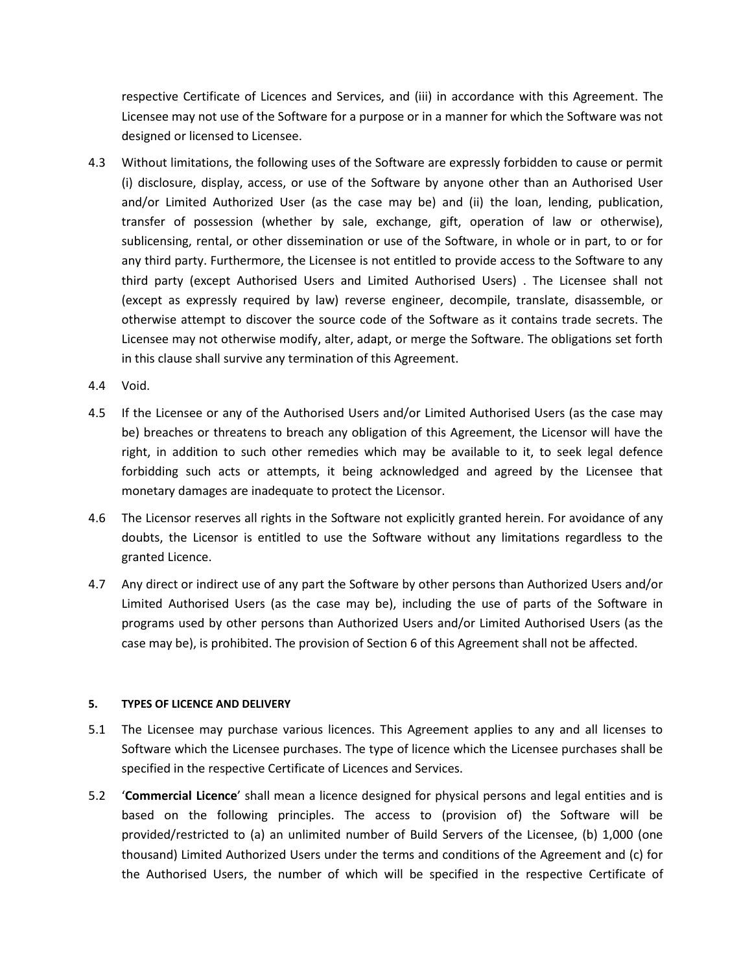respective Certificate of Licences and Services, and (iii) in accordance with this Agreement. The Licensee may not use of the Software for a purpose or in a manner for which the Software was not designed or licensed to Licensee.

- 4.3 Without limitations, the following uses of the Software are expressly forbidden to cause or permit (i) disclosure, display, access, or use of the Software by anyone other than an Authorised User and/or Limited Authorized User (as the case may be) and (ii) the loan, lending, publication, transfer of possession (whether by sale, exchange, gift, operation of law or otherwise), sublicensing, rental, or other dissemination or use of the Software, in whole or in part, to or for any third party. Furthermore, the Licensee is not entitled to provide access to the Software to any third party (except Authorised Users and Limited Authorised Users) . The Licensee shall not (except as expressly required by law) reverse engineer, decompile, translate, disassemble, or otherwise attempt to discover the source code of the Software as it contains trade secrets. The Licensee may not otherwise modify, alter, adapt, or merge the Software. The obligations set forth in this clause shall survive any termination of this Agreement.
- 4.4 Void.
- 4.5 If the Licensee or any of the Authorised Users and/or Limited Authorised Users (as the case may be) breaches or threatens to breach any obligation of this Agreement, the Licensor will have the right, in addition to such other remedies which may be available to it, to seek legal defence forbidding such acts or attempts, it being acknowledged and agreed by the Licensee that monetary damages are inadequate to protect the Licensor.
- 4.6 The Licensor reserves all rights in the Software not explicitly granted herein. For avoidance of any doubts, the Licensor is entitled to use the Software without any limitations regardless to the granted Licence.
- 4.7 Any direct or indirect use of any part the Software by other persons than Authorized Users and/or Limited Authorised Users (as the case may be), including the use of parts of the Software in programs used by other persons than Authorized Users and/or Limited Authorised Users (as the case may be), is prohibited. The provision of Section 6 of this Agreement shall not be affected.

#### **5. TYPES OF LICENCE AND DELIVERY**

- 5.1 The Licensee may purchase various licences. This Agreement applies to any and all licenses to Software which the Licensee purchases. The type of licence which the Licensee purchases shall be specified in the respective Certificate of Licences and Services.
- 5.2 '**Commercial Licence**' shall mean a licence designed for physical persons and legal entities and is based on the following principles. The access to (provision of) the Software will be provided/restricted to (a) an unlimited number of Build Servers of the Licensee, (b) 1,000 (one thousand) Limited Authorized Users under the terms and conditions of the Agreement and (c) for the Authorised Users, the number of which will be specified in the respective Certificate of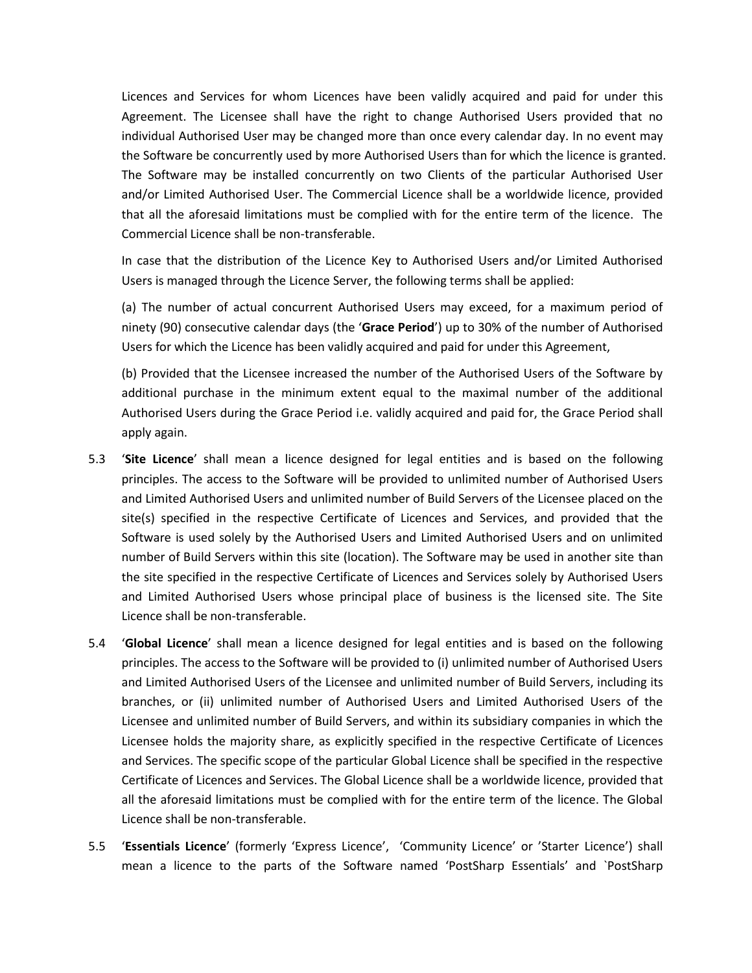Licences and Services for whom Licences have been validly acquired and paid for under this Agreement. The Licensee shall have the right to change Authorised Users provided that no individual Authorised User may be changed more than once every calendar day. In no event may the Software be concurrently used by more Authorised Users than for which the licence is granted. The Software may be installed concurrently on two Clients of the particular Authorised User and/or Limited Authorised User. The Commercial Licence shall be a worldwide licence, provided that all the aforesaid limitations must be complied with for the entire term of the licence. The Commercial Licence shall be non-transferable.

In case that the distribution of the Licence Key to Authorised Users and/or Limited Authorised Users is managed through the Licence Server, the following terms shall be applied:

(a) The number of actual concurrent Authorised Users may exceed, for a maximum period of ninety (90) consecutive calendar days (the '**Grace Period**') up to 30% of the number of Authorised Users for which the Licence has been validly acquired and paid for under this Agreement,

(b) Provided that the Licensee increased the number of the Authorised Users of the Software by additional purchase in the minimum extent equal to the maximal number of the additional Authorised Users during the Grace Period i.e. validly acquired and paid for, the Grace Period shall apply again.

- 5.3 '**Site Licence**' shall mean a licence designed for legal entities and is based on the following principles. The access to the Software will be provided to unlimited number of Authorised Users and Limited Authorised Users and unlimited number of Build Servers of the Licensee placed on the site(s) specified in the respective Certificate of Licences and Services, and provided that the Software is used solely by the Authorised Users and Limited Authorised Users and on unlimited number of Build Servers within this site (location). The Software may be used in another site than the site specified in the respective Certificate of Licences and Services solely by Authorised Users and Limited Authorised Users whose principal place of business is the licensed site. The Site Licence shall be non-transferable.
- 5.4 '**Global Licence**' shall mean a licence designed for legal entities and is based on the following principles. The access to the Software will be provided to (i) unlimited number of Authorised Users and Limited Authorised Users of the Licensee and unlimited number of Build Servers, including its branches, or (ii) unlimited number of Authorised Users and Limited Authorised Users of the Licensee and unlimited number of Build Servers, and within its subsidiary companies in which the Licensee holds the majority share, as explicitly specified in the respective Certificate of Licences and Services. The specific scope of the particular Global Licence shall be specified in the respective Certificate of Licences and Services. The Global Licence shall be a worldwide licence, provided that all the aforesaid limitations must be complied with for the entire term of the licence. The Global Licence shall be non-transferable.
- 5.5 '**Essentials Licence**' (formerly 'Express Licence', 'Community Licence' or 'Starter Licence') shall mean a licence to the parts of the Software named 'PostSharp Essentials' and `PostSharp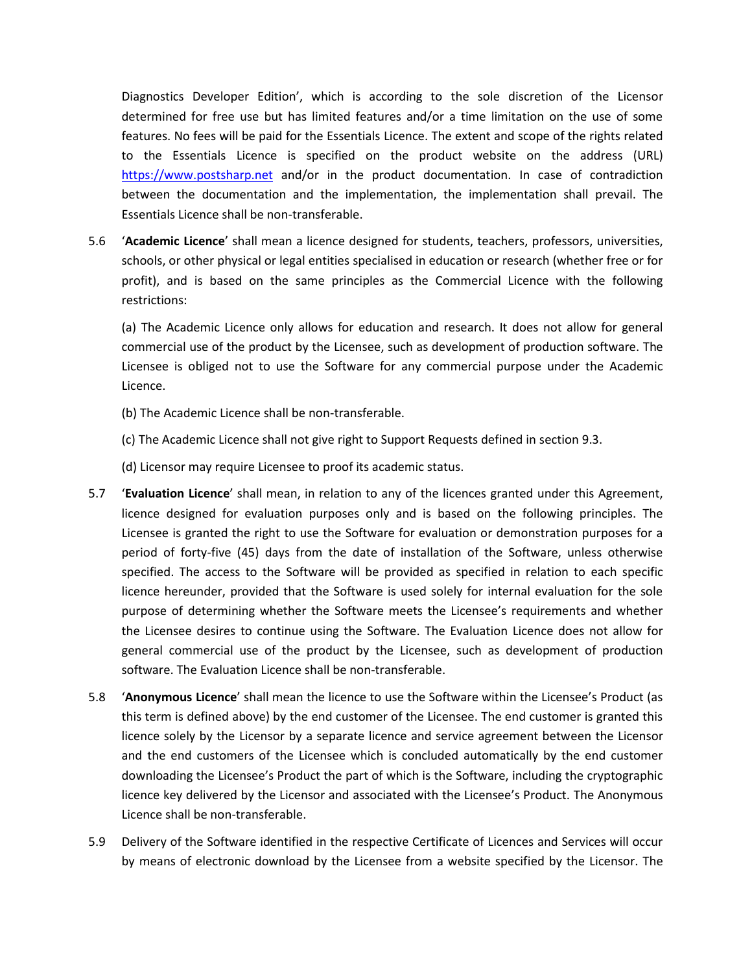Diagnostics Developer Edition', which is according to the sole discretion of the Licensor determined for free use but has limited features and/or a time limitation on the use of some features. No fees will be paid for the Essentials Licence. The extent and scope of the rights related to the Essentials Licence is specified on the product website on the address (URL) [https://www.postsharp.net](https://www.postsharp.net/) and/or in the product documentation. In case of contradiction between the documentation and the implementation, the implementation shall prevail. The Essentials Licence shall be non-transferable.

5.6 '**Academic Licence**' shall mean a licence designed for students, teachers, professors, universities, schools, or other physical or legal entities specialised in education or research (whether free or for profit), and is based on the same principles as the Commercial Licence with the following restrictions:

(a) The Academic Licence only allows for education and research. It does not allow for general commercial use of the product by the Licensee, such as development of production software. The Licensee is obliged not to use the Software for any commercial purpose under the Academic Licence.

- (b) The Academic Licence shall be non-transferable.
- (c) The Academic Licence shall not give right to Support Requests defined in section 9.3.
- (d) Licensor may require Licensee to proof its academic status.
- 5.7 '**Evaluation Licence**' shall mean, in relation to any of the licences granted under this Agreement, licence designed for evaluation purposes only and is based on the following principles. The Licensee is granted the right to use the Software for evaluation or demonstration purposes for a period of forty-five (45) days from the date of installation of the Software, unless otherwise specified. The access to the Software will be provided as specified in relation to each specific licence hereunder, provided that the Software is used solely for internal evaluation for the sole purpose of determining whether the Software meets the Licensee's requirements and whether the Licensee desires to continue using the Software. The Evaluation Licence does not allow for general commercial use of the product by the Licensee, such as development of production software. The Evaluation Licence shall be non-transferable.
- 5.8 '**Anonymous Licence**' shall mean the licence to use the Software within the Licensee's Product (as this term is defined above) by the end customer of the Licensee. The end customer is granted this licence solely by the Licensor by a separate licence and service agreement between the Licensor and the end customers of the Licensee which is concluded automatically by the end customer downloading the Licensee's Product the part of which is the Software, including the cryptographic licence key delivered by the Licensor and associated with the Licensee's Product. The Anonymous Licence shall be non-transferable.
- 5.9 Delivery of the Software identified in the respective Certificate of Licences and Services will occur by means of electronic download by the Licensee from a website specified by the Licensor. The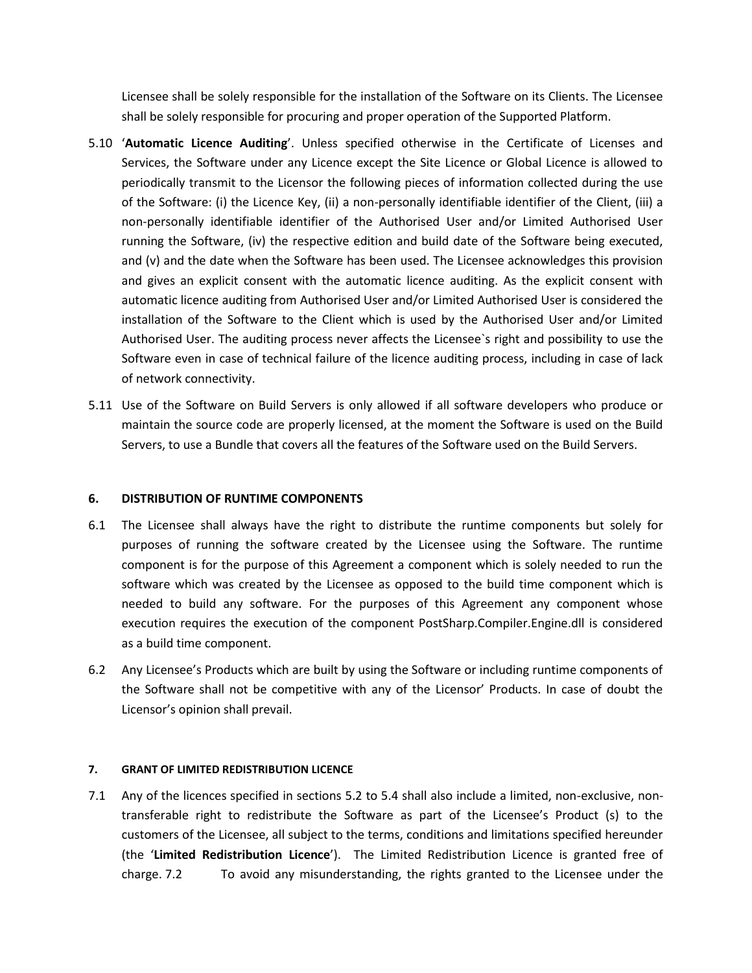Licensee shall be solely responsible for the installation of the Software on its Clients. The Licensee shall be solely responsible for procuring and proper operation of the Supported Platform.

- 5.10 ʻ**Automatic Licence Auditing**'. Unless specified otherwise in the Certificate of Licenses and Services, the Software under any Licence except the Site Licence or Global Licence is allowed to periodically transmit to the Licensor the following pieces of information collected during the use of the Software: (i) the Licence Key, (ii) a non-personally identifiable identifier of the Client, (iii) a non-personally identifiable identifier of the Authorised User and/or Limited Authorised User running the Software, (iv) the respective edition and build date of the Software being executed, and (v) and the date when the Software has been used. The Licensee acknowledges this provision and gives an explicit consent with the automatic licence auditing. As the explicit consent with automatic licence auditing from Authorised User and/or Limited Authorised User is considered the installation of the Software to the Client which is used by the Authorised User and/or Limited Authorised User. The auditing process never affects the Licensee`s right and possibility to use the Software even in case of technical failure of the licence auditing process, including in case of lack of network connectivity.
- 5.11 Use of the Software on Build Servers is only allowed if all software developers who produce or maintain the source code are properly licensed, at the moment the Software is used on the Build Servers, to use a Bundle that covers all the features of the Software used on the Build Servers.

# **6. DISTRIBUTION OF RUNTIME COMPONENTS**

- 6.1 The Licensee shall always have the right to distribute the runtime components but solely for purposes of running the software created by the Licensee using the Software. The runtime component is for the purpose of this Agreement a component which is solely needed to run the software which was created by the Licensee as opposed to the build time component which is needed to build any software. For the purposes of this Agreement any component whose execution requires the execution of the component PostSharp.Compiler.Engine.dll is considered as a build time component.
- 6.2 Any Licensee's Products which are built by using the Software or including runtime components of the Software shall not be competitive with any of the Licensor' Products. In case of doubt the Licensor's opinion shall prevail.

# **7. GRANT OF LIMITED REDISTRIBUTION LICENCE**

7.1 Any of the licences specified in sections 5.2 to 5.4 shall also include a limited, non-exclusive, nontransferable right to redistribute the Software as part of the Licensee's Product (s) to the customers of the Licensee, all subject to the terms, conditions and limitations specified hereunder (the '**Limited Redistribution Licence**'). The Limited Redistribution Licence is granted free of charge. 7.2 To avoid any misunderstanding, the rights granted to the Licensee under the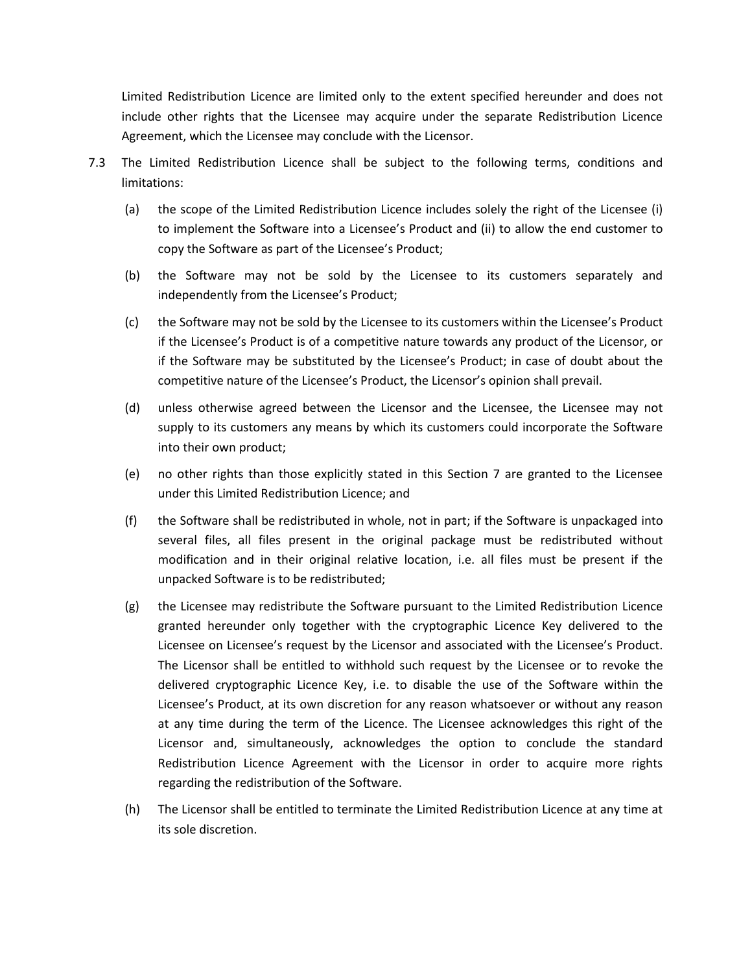Limited Redistribution Licence are limited only to the extent specified hereunder and does not include other rights that the Licensee may acquire under the separate Redistribution Licence Agreement, which the Licensee may conclude with the Licensor.

- 7.3 The Limited Redistribution Licence shall be subject to the following terms, conditions and limitations:
	- (a) the scope of the Limited Redistribution Licence includes solely the right of the Licensee (i) to implement the Software into a Licensee's Product and (ii) to allow the end customer to copy the Software as part of the Licensee's Product;
	- (b) the Software may not be sold by the Licensee to its customers separately and independently from the Licensee's Product;
	- (c) the Software may not be sold by the Licensee to its customers within the Licensee's Product if the Licensee's Product is of a competitive nature towards any product of the Licensor, or if the Software may be substituted by the Licensee's Product; in case of doubt about the competitive nature of the Licensee's Product, the Licensor's opinion shall prevail.
	- (d) unless otherwise agreed between the Licensor and the Licensee, the Licensee may not supply to its customers any means by which its customers could incorporate the Software into their own product;
	- (e) no other rights than those explicitly stated in this Section 7 are granted to the Licensee under this Limited Redistribution Licence; and
	- (f) the Software shall be redistributed in whole, not in part; if the Software is unpackaged into several files, all files present in the original package must be redistributed without modification and in their original relative location, i.e. all files must be present if the unpacked Software is to be redistributed;
	- (g) the Licensee may redistribute the Software pursuant to the Limited Redistribution Licence granted hereunder only together with the cryptographic Licence Key delivered to the Licensee on Licensee's request by the Licensor and associated with the Licensee's Product. The Licensor shall be entitled to withhold such request by the Licensee or to revoke the delivered cryptographic Licence Key, i.e. to disable the use of the Software within the Licensee's Product, at its own discretion for any reason whatsoever or without any reason at any time during the term of the Licence. The Licensee acknowledges this right of the Licensor and, simultaneously, acknowledges the option to conclude the standard Redistribution Licence Agreement with the Licensor in order to acquire more rights regarding the redistribution of the Software.
	- (h) The Licensor shall be entitled to terminate the Limited Redistribution Licence at any time at its sole discretion.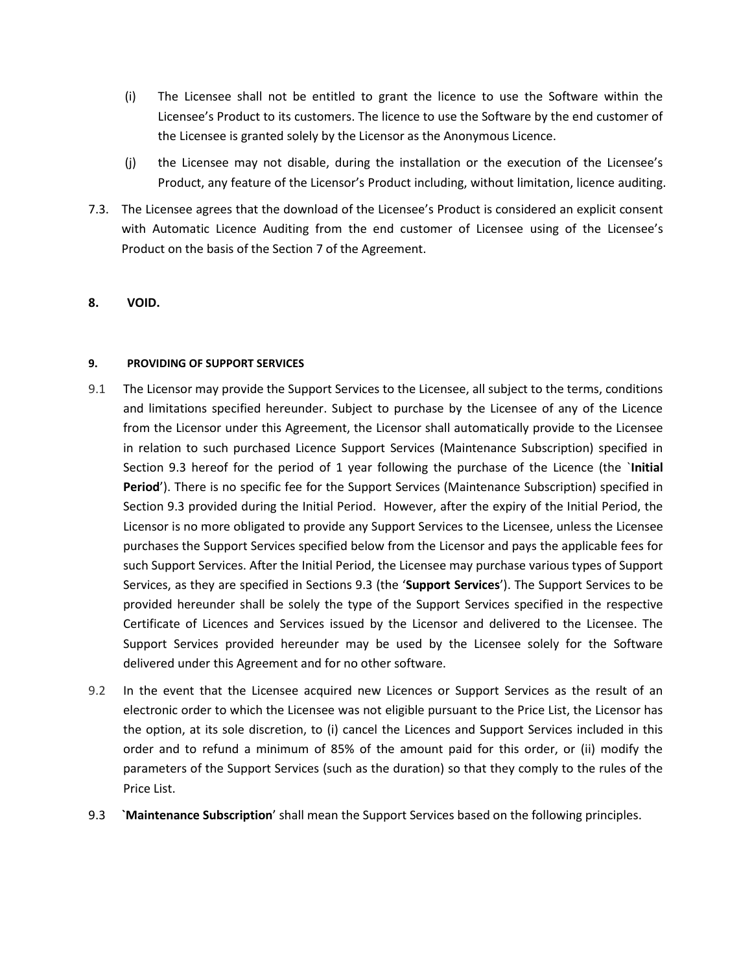- (i) The Licensee shall not be entitled to grant the licence to use the Software within the Licensee's Product to its customers. The licence to use the Software by the end customer of the Licensee is granted solely by the Licensor as the Anonymous Licence.
- (j) the Licensee may not disable, during the installation or the execution of the Licensee's Product, any feature of the Licensor's Product including, without limitation, licence auditing.
- 7.3. The Licensee agrees that the download of the Licensee's Product is considered an explicit consent with Automatic Licence Auditing from the end customer of Licensee using of the Licensee's Product on the basis of the Section 7 of the Agreement.

# **8. VOID.**

#### **9. PROVIDING OF SUPPORT SERVICES**

- 9.1 The Licensor may provide the Support Services to the Licensee, all subject to the terms, conditions and limitations specified hereunder. Subject to purchase by the Licensee of any of the Licence from the Licensor under this Agreement, the Licensor shall automatically provide to the Licensee in relation to such purchased Licence Support Services (Maintenance Subscription) specified in Section 9.3 hereof for the period of 1 year following the purchase of the Licence (the `**Initial Period**'). There is no specific fee for the Support Services (Maintenance Subscription) specified in Section 9.3 provided during the Initial Period. However, after the expiry of the Initial Period, the Licensor is no more obligated to provide any Support Services to the Licensee, unless the Licensee purchases the Support Services specified below from the Licensor and pays the applicable fees for such Support Services. After the Initial Period, the Licensee may purchase various types of Support Services, as they are specified in Sections 9.3 (the '**Support Services**'). The Support Services to be provided hereunder shall be solely the type of the Support Services specified in the respective Certificate of Licences and Services issued by the Licensor and delivered to the Licensee. The Support Services provided hereunder may be used by the Licensee solely for the Software delivered under this Agreement and for no other software.
- 9.2 In the event that the Licensee acquired new Licences or Support Services as the result of an electronic order to which the Licensee was not eligible pursuant to the Price List, the Licensor has the option, at its sole discretion, to (i) cancel the Licences and Support Services included in this order and to refund a minimum of 85% of the amount paid for this order, or (ii) modify the parameters of the Support Services (such as the duration) so that they comply to the rules of the Price List.
- 9.3 **`Maintenance Subscription**' shall mean the Support Services based on the following principles.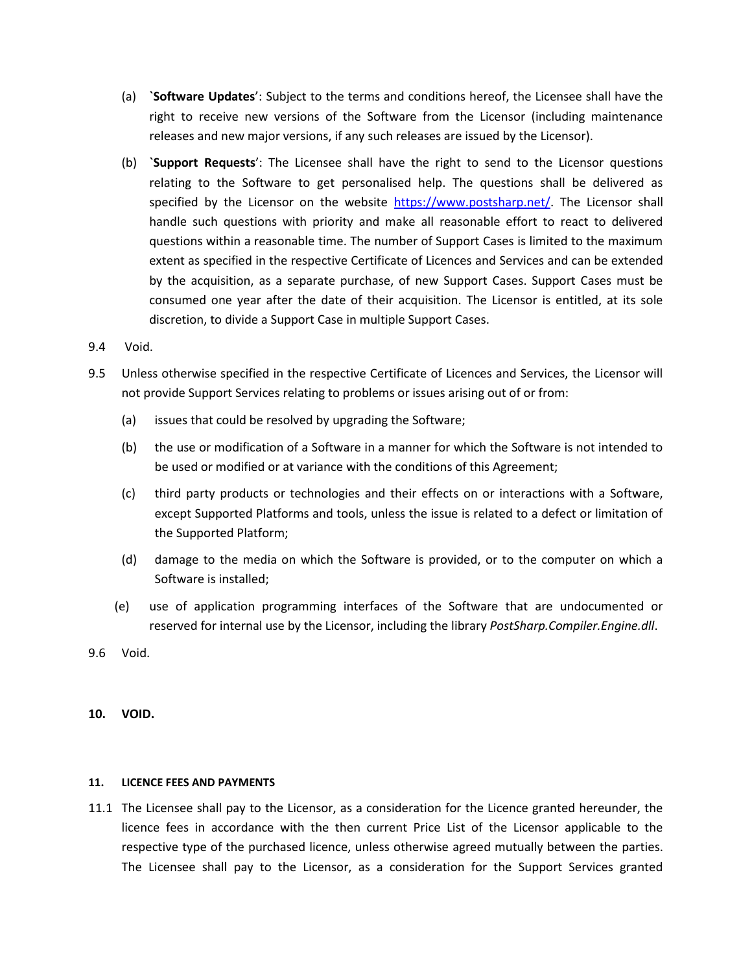- (a) **`Software Updates**': Subject to the terms and conditions hereof, the Licensee shall have the right to receive new versions of the Software from the Licensor (including maintenance releases and new major versions, if any such releases are issued by the Licensor).
- (b) **`Support Requests**': The Licensee shall have the right to send to the Licensor questions relating to the Software to get personalised help. The questions shall be delivered as specified by the Licensor on the website [https://www.postsharp.net/.](https://www.postsharp.net/) The Licensor shall handle such questions with priority and make all reasonable effort to react to delivered questions within a reasonable time. The number of Support Cases is limited to the maximum extent as specified in the respective Certificate of Licences and Services and can be extended by the acquisition, as a separate purchase, of new Support Cases. Support Cases must be consumed one year after the date of their acquisition. The Licensor is entitled, at its sole discretion, to divide a Support Case in multiple Support Cases.
- 9.4 Void.
- 9.5 Unless otherwise specified in the respective Certificate of Licences and Services, the Licensor will not provide Support Services relating to problems or issues arising out of or from:
	- (a) issues that could be resolved by upgrading the Software;
	- (b) the use or modification of a Software in a manner for which the Software is not intended to be used or modified or at variance with the conditions of this Agreement;
	- (c) third party products or technologies and their effects on or interactions with a Software, except Supported Platforms and tools, unless the issue is related to a defect or limitation of the Supported Platform;
	- (d) damage to the media on which the Software is provided, or to the computer on which a Software is installed;
	- (e) use of application programming interfaces of the Software that are undocumented or reserved for internal use by the Licensor, including the library *PostSharp.Compiler.Engine.dll*.
- 9.6 Void.
- **10. VOID.**

#### **11. LICENCE FEES AND PAYMENTS**

11.1 The Licensee shall pay to the Licensor, as a consideration for the Licence granted hereunder, the licence fees in accordance with the then current Price List of the Licensor applicable to the respective type of the purchased licence, unless otherwise agreed mutually between the parties. The Licensee shall pay to the Licensor, as a consideration for the Support Services granted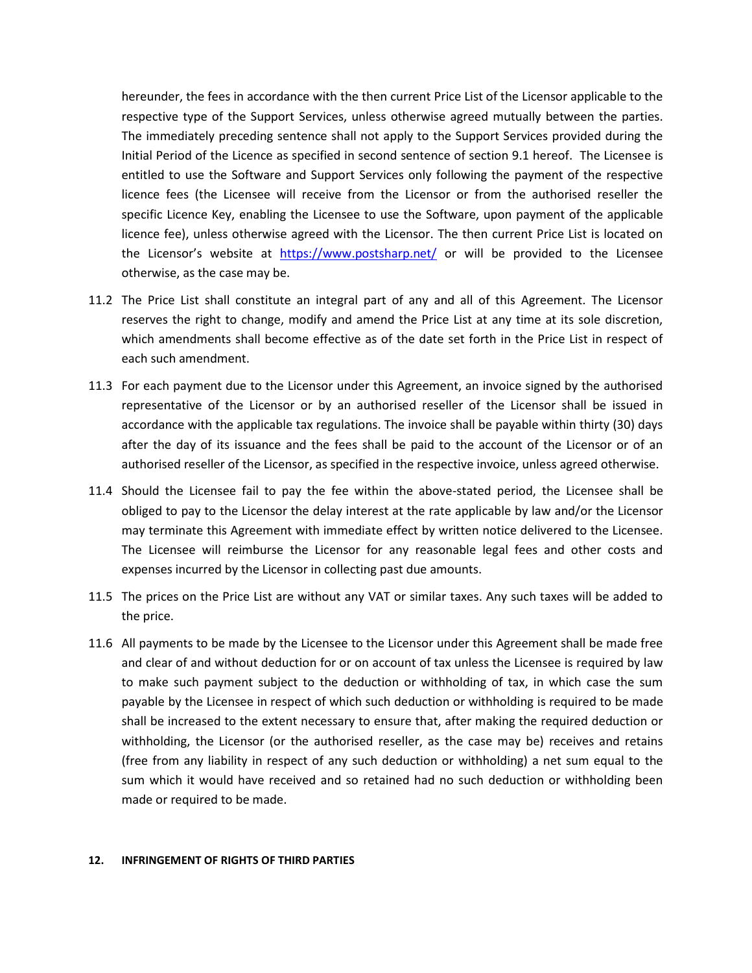hereunder, the fees in accordance with the then current Price List of the Licensor applicable to the respective type of the Support Services, unless otherwise agreed mutually between the parties. The immediately preceding sentence shall not apply to the Support Services provided during the Initial Period of the Licence as specified in second sentence of section 9.1 hereof. The Licensee is entitled to use the Software and Support Services only following the payment of the respective licence fees (the Licensee will receive from the Licensor or from the authorised reseller the specific Licence Key, enabling the Licensee to use the Software, upon payment of the applicable licence fee), unless otherwise agreed with the Licensor. The then current Price List is located on the Licensor's website at <https://www.postsharp.net/> or will be provided to the Licensee otherwise, as the case may be.

- 11.2 The Price List shall constitute an integral part of any and all of this Agreement. The Licensor reserves the right to change, modify and amend the Price List at any time at its sole discretion, which amendments shall become effective as of the date set forth in the Price List in respect of each such amendment.
- 11.3 For each payment due to the Licensor under this Agreement, an invoice signed by the authorised representative of the Licensor or by an authorised reseller of the Licensor shall be issued in accordance with the applicable tax regulations. The invoice shall be payable within thirty (30) days after the day of its issuance and the fees shall be paid to the account of the Licensor or of an authorised reseller of the Licensor, as specified in the respective invoice, unless agreed otherwise.
- 11.4 Should the Licensee fail to pay the fee within the above-stated period, the Licensee shall be obliged to pay to the Licensor the delay interest at the rate applicable by law and/or the Licensor may terminate this Agreement with immediate effect by written notice delivered to the Licensee. The Licensee will reimburse the Licensor for any reasonable legal fees and other costs and expenses incurred by the Licensor in collecting past due amounts.
- 11.5 The prices on the Price List are without any VAT or similar taxes. Any such taxes will be added to the price.
- 11.6 All payments to be made by the Licensee to the Licensor under this Agreement shall be made free and clear of and without deduction for or on account of tax unless the Licensee is required by law to make such payment subject to the deduction or withholding of tax, in which case the sum payable by the Licensee in respect of which such deduction or withholding is required to be made shall be increased to the extent necessary to ensure that, after making the required deduction or withholding, the Licensor (or the authorised reseller, as the case may be) receives and retains (free from any liability in respect of any such deduction or withholding) a net sum equal to the sum which it would have received and so retained had no such deduction or withholding been made or required to be made.

#### **12. INFRINGEMENT OF RIGHTS OF THIRD PARTIES**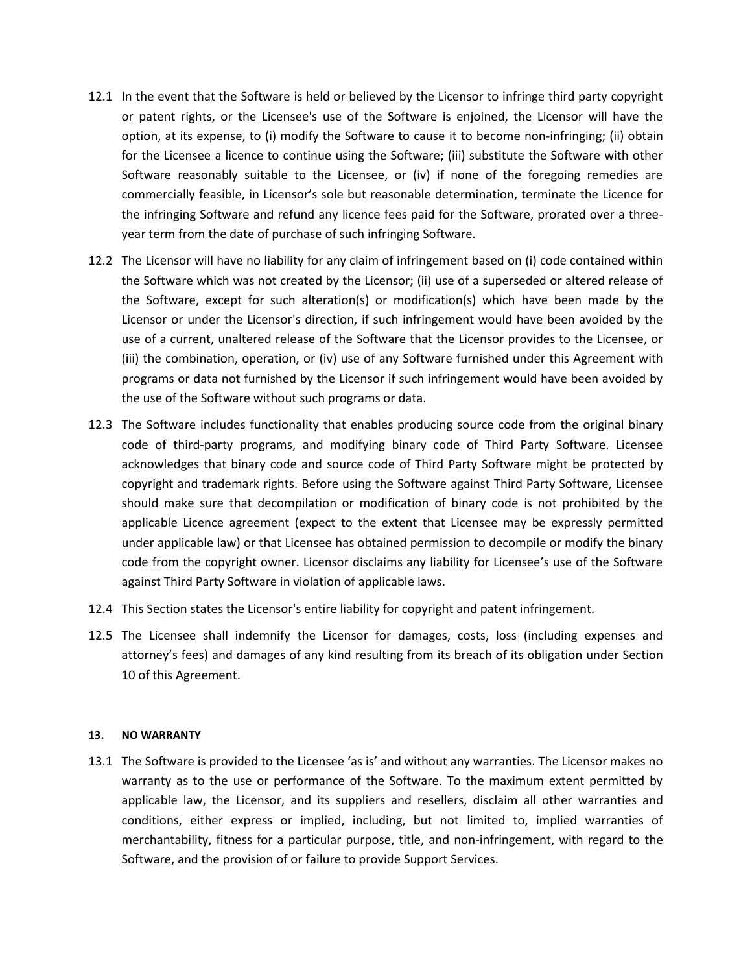- 12.1 In the event that the Software is held or believed by the Licensor to infringe third party copyright or patent rights, or the Licensee's use of the Software is enjoined, the Licensor will have the option, at its expense, to (i) modify the Software to cause it to become non-infringing; (ii) obtain for the Licensee a licence to continue using the Software; (iii) substitute the Software with other Software reasonably suitable to the Licensee, or (iv) if none of the foregoing remedies are commercially feasible, in Licensor's sole but reasonable determination, terminate the Licence for the infringing Software and refund any licence fees paid for the Software, prorated over a threeyear term from the date of purchase of such infringing Software.
- 12.2 The Licensor will have no liability for any claim of infringement based on (i) code contained within the Software which was not created by the Licensor; (ii) use of a superseded or altered release of the Software, except for such alteration(s) or modification(s) which have been made by the Licensor or under the Licensor's direction, if such infringement would have been avoided by the use of a current, unaltered release of the Software that the Licensor provides to the Licensee, or (iii) the combination, operation, or (iv) use of any Software furnished under this Agreement with programs or data not furnished by the Licensor if such infringement would have been avoided by the use of the Software without such programs or data.
- 12.3 The Software includes functionality that enables producing source code from the original binary code of third-party programs, and modifying binary code of Third Party Software. Licensee acknowledges that binary code and source code of Third Party Software might be protected by copyright and trademark rights. Before using the Software against Third Party Software, Licensee should make sure that decompilation or modification of binary code is not prohibited by the applicable Licence agreement (expect to the extent that Licensee may be expressly permitted under applicable law) or that Licensee has obtained permission to decompile or modify the binary code from the copyright owner. Licensor disclaims any liability for Licensee's use of the Software against Third Party Software in violation of applicable laws.
- 12.4 This Section states the Licensor's entire liability for copyright and patent infringement.
- 12.5 The Licensee shall indemnify the Licensor for damages, costs, loss (including expenses and attorney's fees) and damages of any kind resulting from its breach of its obligation under Section 10 of this Agreement.

#### **13. NO WARRANTY**

13.1 The Software is provided to the Licensee 'as is' and without any warranties. The Licensor makes no warranty as to the use or performance of the Software. To the maximum extent permitted by applicable law, the Licensor, and its suppliers and resellers, disclaim all other warranties and conditions, either express or implied, including, but not limited to, implied warranties of merchantability, fitness for a particular purpose, title, and non-infringement, with regard to the Software, and the provision of or failure to provide Support Services.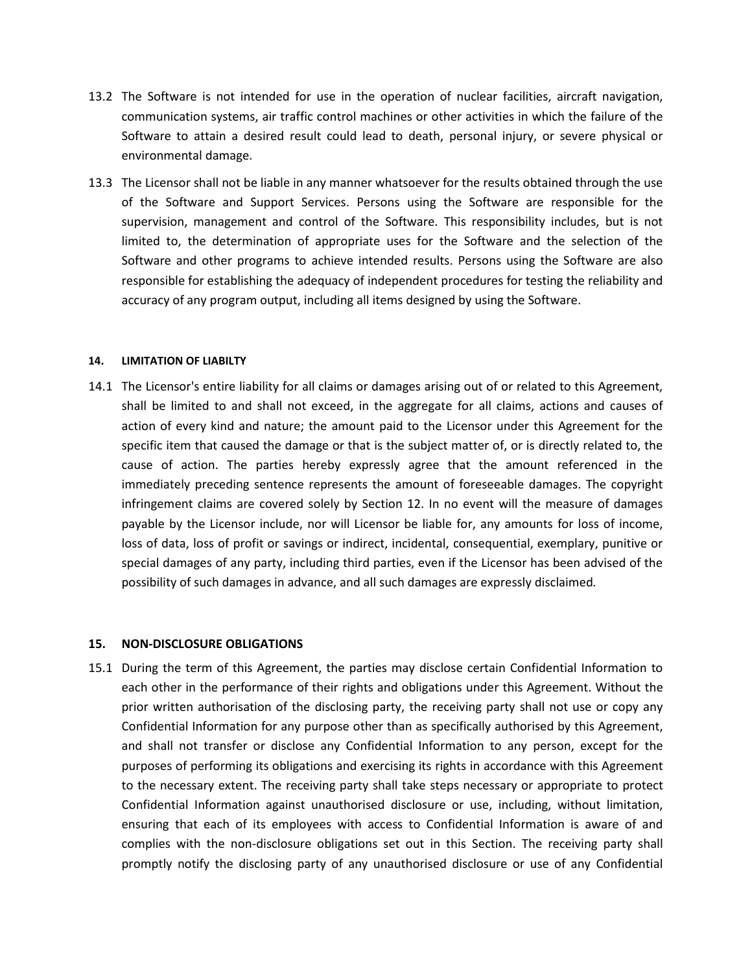- 13.2 The Software is not intended for use in the operation of nuclear facilities, aircraft navigation, communication systems, air traffic control machines or other activities in which the failure of the Software to attain a desired result could lead to death, personal injury, or severe physical or environmental damage.
- 13.3 The Licensor shall not be liable in any manner whatsoever for the results obtained through the use of the Software and Support Services. Persons using the Software are responsible for the supervision, management and control of the Software. This responsibility includes, but is not limited to, the determination of appropriate uses for the Software and the selection of the Software and other programs to achieve intended results. Persons using the Software are also responsible for establishing the adequacy of independent procedures for testing the reliability and accuracy of any program output, including all items designed by using the Software.

#### **14. LIMITATION OF LIABILTY**

14.1 The Licensor's entire liability for all claims or damages arising out of or related to this Agreement, shall be limited to and shall not exceed, in the aggregate for all claims, actions and causes of action of every kind and nature; the amount paid to the Licensor under this Agreement for the specific item that caused the damage or that is the subject matter of, or is directly related to, the cause of action. The parties hereby expressly agree that the amount referenced in the immediately preceding sentence represents the amount of foreseeable damages. The copyright infringement claims are covered solely by Section 12. In no event will the measure of damages payable by the Licensor include, nor will Licensor be liable for, any amounts for loss of income, loss of data, loss of profit or savings or indirect, incidental, consequential, exemplary, punitive or special damages of any party, including third parties, even if the Licensor has been advised of the possibility of such damages in advance, and all such damages are expressly disclaimed*.* 

#### **15. NON-DISCLOSURE OBLIGATIONS**

15.1 During the term of this Agreement, the parties may disclose certain Confidential Information to each other in the performance of their rights and obligations under this Agreement. Without the prior written authorisation of the disclosing party, the receiving party shall not use or copy any Confidential Information for any purpose other than as specifically authorised by this Agreement, and shall not transfer or disclose any Confidential Information to any person, except for the purposes of performing its obligations and exercising its rights in accordance with this Agreement to the necessary extent. The receiving party shall take steps necessary or appropriate to protect Confidential Information against unauthorised disclosure or use, including, without limitation, ensuring that each of its employees with access to Confidential Information is aware of and complies with the non-disclosure obligations set out in this Section. The receiving party shall promptly notify the disclosing party of any unauthorised disclosure or use of any Confidential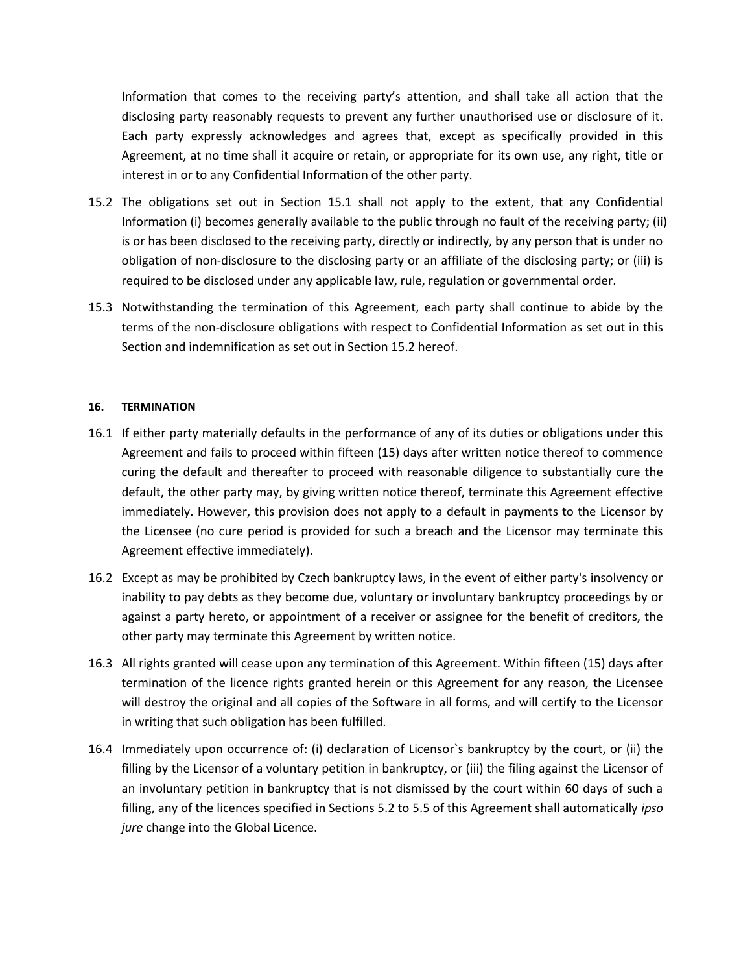Information that comes to the receiving party's attention, and shall take all action that the disclosing party reasonably requests to prevent any further unauthorised use or disclosure of it. Each party expressly acknowledges and agrees that, except as specifically provided in this Agreement, at no time shall it acquire or retain, or appropriate for its own use, any right, title or interest in or to any Confidential Information of the other party.

- 15.2 The obligations set out in Section 15.1 shall not apply to the extent, that any Confidential Information (i) becomes generally available to the public through no fault of the receiving party; (ii) is or has been disclosed to the receiving party, directly or indirectly, by any person that is under no obligation of non-disclosure to the disclosing party or an affiliate of the disclosing party; or (iii) is required to be disclosed under any applicable law, rule, regulation or governmental order.
- 15.3 Notwithstanding the termination of this Agreement, each party shall continue to abide by the terms of the non-disclosure obligations with respect to Confidential Information as set out in this Section and indemnification as set out in Section 15.2 hereof.

#### **16. TERMINATION**

- 16.1 If either party materially defaults in the performance of any of its duties or obligations under this Agreement and fails to proceed within fifteen (15) days after written notice thereof to commence curing the default and thereafter to proceed with reasonable diligence to substantially cure the default, the other party may, by giving written notice thereof, terminate this Agreement effective immediately. However, this provision does not apply to a default in payments to the Licensor by the Licensee (no cure period is provided for such a breach and the Licensor may terminate this Agreement effective immediately).
- 16.2 Except as may be prohibited by Czech bankruptcy laws, in the event of either party's insolvency or inability to pay debts as they become due, voluntary or involuntary bankruptcy proceedings by or against a party hereto, or appointment of a receiver or assignee for the benefit of creditors, the other party may terminate this Agreement by written notice.
- 16.3 All rights granted will cease upon any termination of this Agreement. Within fifteen (15) days after termination of the licence rights granted herein or this Agreement for any reason, the Licensee will destroy the original and all copies of the Software in all forms, and will certify to the Licensor in writing that such obligation has been fulfilled.
- 16.4 Immediately upon occurrence of: (i) declaration of Licensor`s bankruptcy by the court, or (ii) the filling by the Licensor of a voluntary petition in bankruptcy, or (iii) the filing against the Licensor of an involuntary petition in bankruptcy that is not dismissed by the court within 60 days of such a filling, any of the licences specified in Sections 5.2 to 5.5 of this Agreement shall automatically *ipso jure* change into the Global Licence.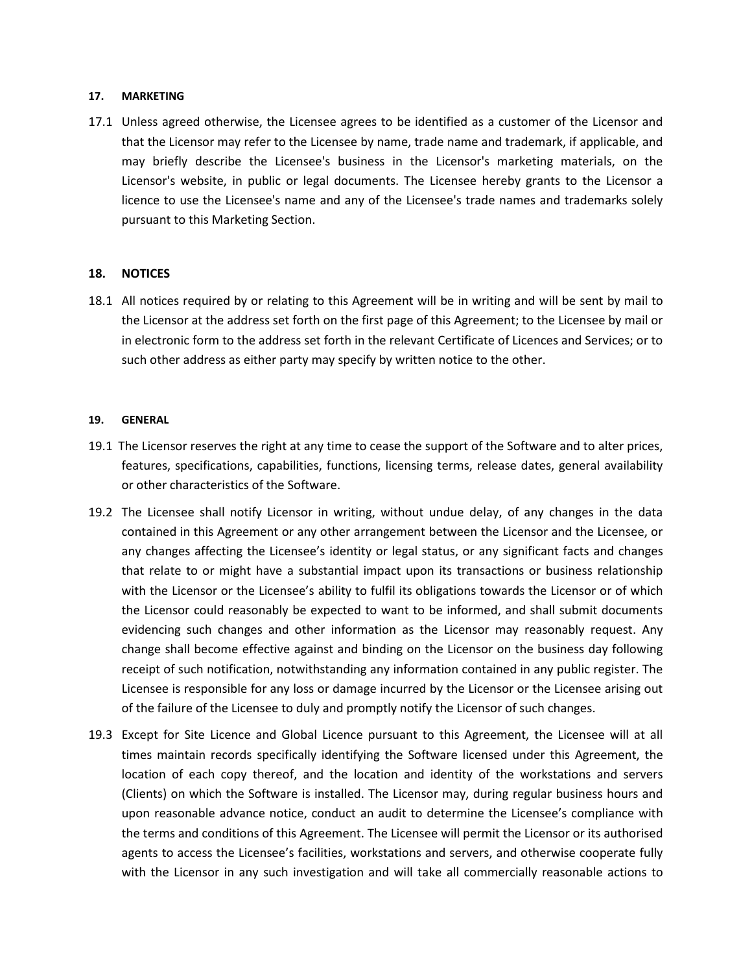## **17. MARKETING**

17.1 Unless agreed otherwise, the Licensee agrees to be identified as a customer of the Licensor and that the Licensor may refer to the Licensee by name, trade name and trademark, if applicable, and may briefly describe the Licensee's business in the Licensor's marketing materials, on the Licensor's website, in public or legal documents. The Licensee hereby grants to the Licensor a licence to use the Licensee's name and any of the Licensee's trade names and trademarks solely pursuant to this Marketing Section.

# **18. NOTICES**

18.1 All notices required by or relating to this Agreement will be in writing and will be sent by mail to the Licensor at the address set forth on the first page of this Agreement; to the Licensee by mail or in electronic form to the address set forth in the relevant Certificate of Licences and Services; or to such other address as either party may specify by written notice to the other.

#### **19. GENERAL**

- 19.1 The Licensor reserves the right at any time to cease the support of the Software and to alter prices, features, specifications, capabilities, functions, licensing terms, release dates, general availability or other characteristics of the Software.
- 19.2 The Licensee shall notify Licensor in writing, without undue delay, of any changes in the data contained in this Agreement or any other arrangement between the Licensor and the Licensee, or any changes affecting the Licensee's identity or legal status, or any significant facts and changes that relate to or might have a substantial impact upon its transactions or business relationship with the Licensor or the Licensee's ability to fulfil its obligations towards the Licensor or of which the Licensor could reasonably be expected to want to be informed, and shall submit documents evidencing such changes and other information as the Licensor may reasonably request. Any change shall become effective against and binding on the Licensor on the business day following receipt of such notification, notwithstanding any information contained in any public register. The Licensee is responsible for any loss or damage incurred by the Licensor or the Licensee arising out of the failure of the Licensee to duly and promptly notify the Licensor of such changes.
- 19.3 Except for Site Licence and Global Licence pursuant to this Agreement, the Licensee will at all times maintain records specifically identifying the Software licensed under this Agreement, the location of each copy thereof, and the location and identity of the workstations and servers (Clients) on which the Software is installed. The Licensor may, during regular business hours and upon reasonable advance notice, conduct an audit to determine the Licensee's compliance with the terms and conditions of this Agreement. The Licensee will permit the Licensor or its authorised agents to access the Licensee's facilities, workstations and servers, and otherwise cooperate fully with the Licensor in any such investigation and will take all commercially reasonable actions to